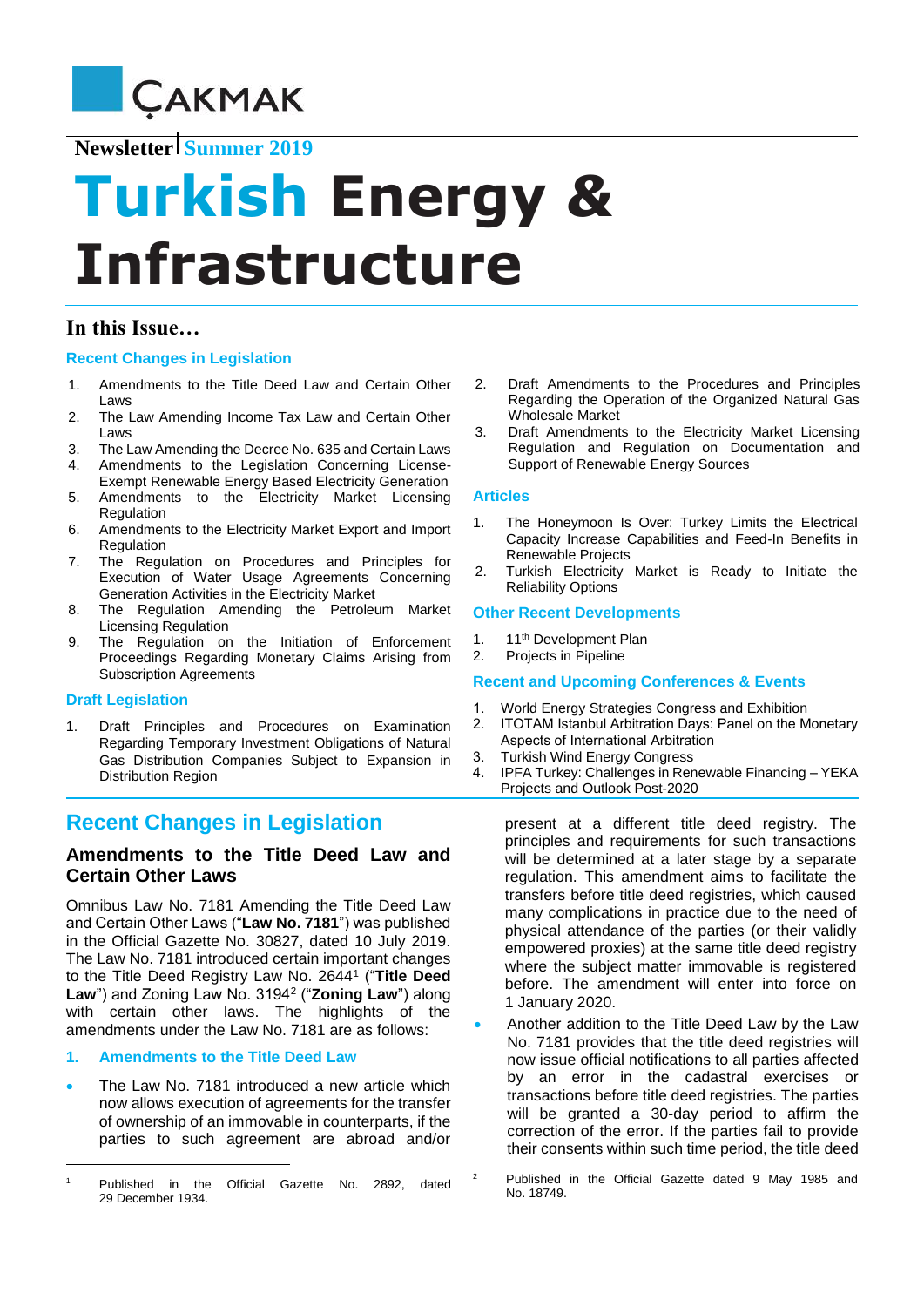

**Newsletter Summer 2019**

# **Turkish Energy** *&*  **Infrastructure**

## **In this Issue…**

#### **Recent Changes in Legislation**

- 1. Amendments to the Title Deed Law and Certain Other Laws
- 2. The Law Amending Income Tax Law and Certain Other Laws
- 3. The Law Amending the Decree No. 635 and Certain Laws 4. Amendments to the Legislation Concerning License-
- Exempt Renewable Energy Based Electricity Generation 5. Amendments to the Electricity Market Licensing **Regulation**
- 6. Amendments to the Electricity Market Export and Import Regulation
- 7. The Regulation on Procedures and Principles for Execution of Water Usage Agreements Concerning Generation Activities in the Electricity Market
- 8. The Regulation Amending the Petroleum Market Licensing Regulation
- 9. The Regulation on the Initiation of Enforcement Proceedings Regarding Monetary Claims Arising from Subscription Agreements

## **Draft Legislation**

1. Draft Principles and Procedures on Examination Regarding Temporary Investment Obligations of Natural Gas Distribution Companies Subject to Expansion in Distribution Region

# **Recent Changes in Legislation**

## **Amendments to the Title Deed Law and Certain Other Laws**

Omnibus Law No. 7181 Amending the Title Deed Law and Certain Other Laws ("**Law No. 7181**") was published in the Official Gazette No. 30827, dated 10 July 2019. The Law No. 7181 introduced certain important changes to the Title Deed Registry Law No. 2644<sup>1</sup> ("**Title Deed Law**") and Zoning Law No. 3194<sup>2</sup> ("**Zoning Law**") along with certain other laws. The highlights of the amendments under the Law No. 7181 are as follows:

## **1. Amendments to the Title Deed Law**

 The Law No. 7181 introduced a new article which now allows execution of agreements for the transfer of ownership of an immovable in counterparts, if the parties to such agreement are abroad and/or

- 2. Draft Amendments to the Procedures and Principles Regarding the Operation of the Organized Natural Gas Wholesale Market
- 3. Draft Amendments to the Electricity Market Licensing Regulation and Regulation on Documentation and Support of Renewable Energy Sources

#### **Articles**

- 1. The Honeymoon Is Over: Turkey Limits the Electrical Capacity Increase Capabilities and Feed-In Benefits in Renewable Projects
- 2. Turkish Electricity Market is Ready to Initiate the Reliability Options

#### **Other Recent Developments**

- 1. 11<sup>th</sup> Development Plan
- 2. Projects in Pipeline

## **Recent and Upcoming Conferences & Events**

- 1. World Energy Strategies Congress and Exhibition
- 2. ITOTAM Istanbul Arbitration Days: Panel on the Monetary Aspects of International Arbitration
- 3. Turkish Wind Energy Congress<br>4. IPFA Turkey: Challenges in Rer
- 4. IPFA Turkey: Challenges in Renewable Financing YEKA Projects and Outlook Post-2020

present at a different title deed registry. The principles and requirements for such transactions will be determined at a later stage by a separate regulation. This amendment aims to facilitate the transfers before title deed registries, which caused many complications in practice due to the need of physical attendance of the parties (or their validly empowered proxies) at the same title deed registry where the subject matter immovable is registered before. The amendment will enter into force on 1 January 2020.

 Another addition to the Title Deed Law by the Law No. 7181 provides that the title deed registries will now issue official notifications to all parties affected by an error in the cadastral exercises or transactions before title deed registries. The parties will be granted a 30-day period to affirm the correction of the error. If the parties fail to provide their consents within such time period, the title deed

<sup>2</sup> Published in the Official Gazette dated 9 May 1985 and No. 18749.

Published in the Official Gazette No. 2892, dated 29 December 1934.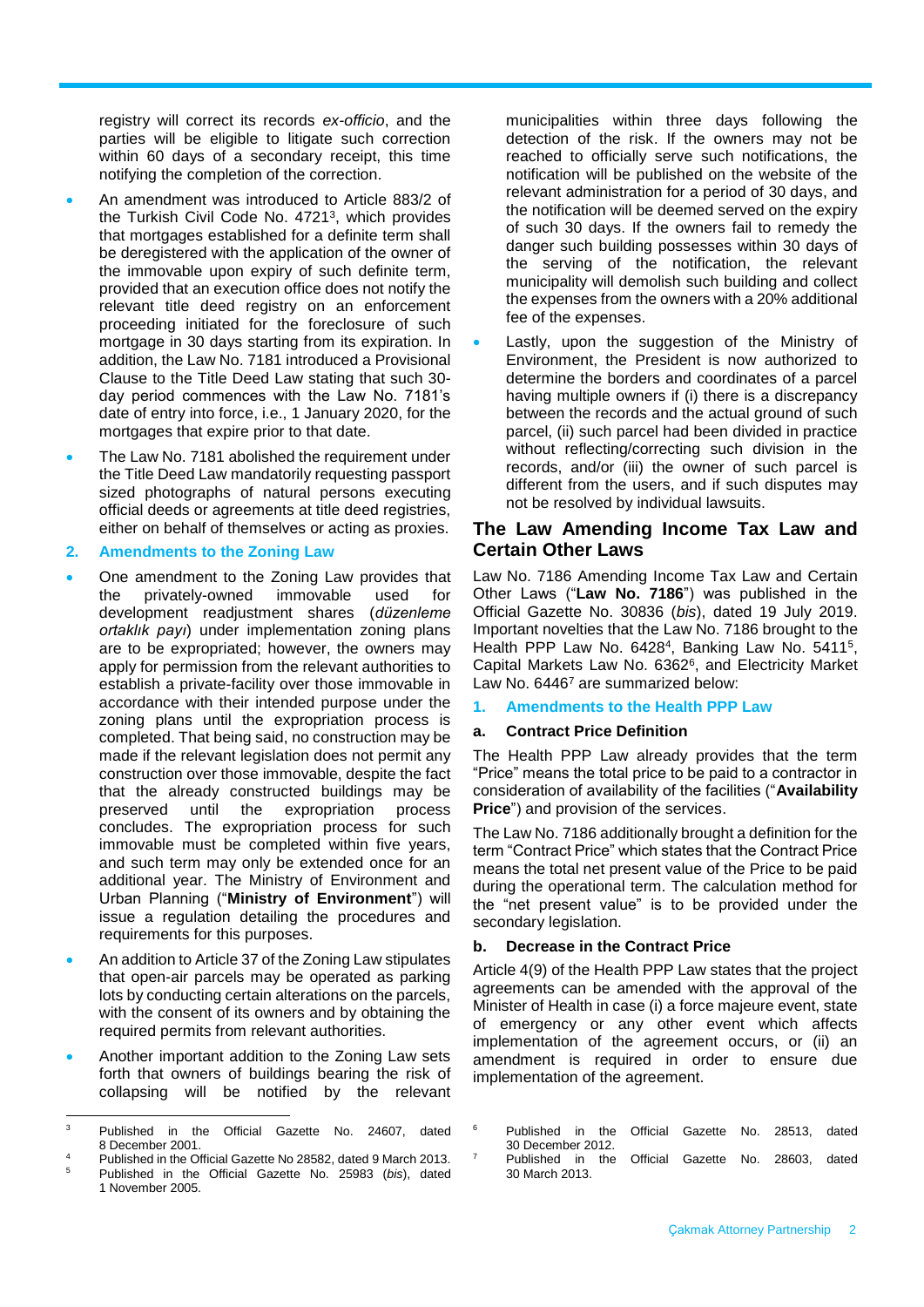registry will correct its records *ex-officio*, and the parties will be eligible to litigate such correction within 60 days of a secondary receipt, this time notifying the completion of the correction.

- An amendment was introduced to Article 883/2 of the Turkish Civil Code No. 4721<sup>3</sup>, which provides that mortgages established for a definite term shall be deregistered with the application of the owner of the immovable upon expiry of such definite term, provided that an execution office does not notify the relevant title deed registry on an enforcement proceeding initiated for the foreclosure of such mortgage in 30 days starting from its expiration. In addition, the Law No. 7181 introduced a Provisional Clause to the Title Deed Law stating that such 30 day period commences with the Law No. 7181's date of entry into force, i.e., 1 January 2020, for the mortgages that expire prior to that date.
- The Law No. 7181 abolished the requirement under the Title Deed Law mandatorily requesting passport sized photographs of natural persons executing official deeds or agreements at title deed registries, either on behalf of themselves or acting as proxies.

#### **2. Amendments to the Zoning Law**

- One amendment to the Zoning Law provides that the privately-owned immovable used for development readjustment shares (*düzenleme ortaklık payı*) under implementation zoning plans are to be expropriated; however, the owners may apply for permission from the relevant authorities to establish a private-facility over those immovable in accordance with their intended purpose under the zoning plans until the expropriation process is completed. That being said, no construction may be made if the relevant legislation does not permit any construction over those immovable, despite the fact that the already constructed buildings may be preserved until the expropriation process concludes. The expropriation process for such immovable must be completed within five years, and such term may only be extended once for an additional year. The Ministry of Environment and Urban Planning ("**Ministry of Environment**") will issue a regulation detailing the procedures and requirements for this purposes.
- An addition to Article 37 of the Zoning Law stipulates that open-air parcels may be operated as parking lots by conducting certain alterations on the parcels, with the consent of its owners and by obtaining the required permits from relevant authorities.
- Another important addition to the Zoning Law sets forth that owners of buildings bearing the risk of collapsing will be notified by the relevant

municipalities within three days following the detection of the risk. If the owners may not be reached to officially serve such notifications, the notification will be published on the website of the relevant administration for a period of 30 days, and the notification will be deemed served on the expiry of such 30 days. If the owners fail to remedy the danger such building possesses within 30 days of the serving of the notification, the relevant municipality will demolish such building and collect the expenses from the owners with a 20% additional fee of the expenses.

 Lastly, upon the suggestion of the Ministry of Environment, the President is now authorized to determine the borders and coordinates of a parcel having multiple owners if (i) there is a discrepancy between the records and the actual ground of such parcel, (ii) such parcel had been divided in practice without reflecting/correcting such division in the records, and/or (iii) the owner of such parcel is different from the users, and if such disputes may not be resolved by individual lawsuits.

## **The Law Amending Income Tax Law and Certain Other Laws**

Law No. 7186 Amending Income Tax Law and Certain Other Laws ("**Law No. 7186**") was published in the Official Gazette No. 30836 (*bis*), dated 19 July 2019. Important novelties that the Law No. 7186 brought to the Health PPP Law No. 6428<sup>4</sup>, Banking Law No. 5411<sup>5</sup>, Capital Markets Law No. 6362<sup>6</sup>, and Electricity Market Law No. 6446<sup>7</sup> are summarized below:

#### **1. Amendments to the Health PPP Law**

## **a. Contract Price Definition**

The Health PPP Law already provides that the term "Price" means the total price to be paid to a contractor in consideration of availability of the facilities ("**Availability Price**") and provision of the services.

The Law No. 7186 additionally brought a definition for the term "Contract Price" which states that the Contract Price means the total net present value of the Price to be paid during the operational term. The calculation method for the "net present value" is to be provided under the secondary legislation.

#### **b. Decrease in the Contract Price**

Article 4(9) of the Health PPP Law states that the project agreements can be amended with the approval of the Minister of Health in case (i) a force majeure event, state of emergency or any other event which affects implementation of the agreement occurs, or (ii) an amendment is required in order to ensure due implementation of the agreement.

- <sup>6</sup> Published in the Official Gazette No. 28513, dated 30 December 2012.
- <sup>7</sup> Published in the Official Gazette No. 28603, dated 30 March 2013.

 $\overline{\mathbf{3}}$ Published in the Official Gazette No. 24607, dated 8 December 2001.

Published in the Official Gazette No 28582, dated 9 March 2013.

<sup>5</sup> Published in the Official Gazette No. 25983 (*bis*), dated 1 November 2005.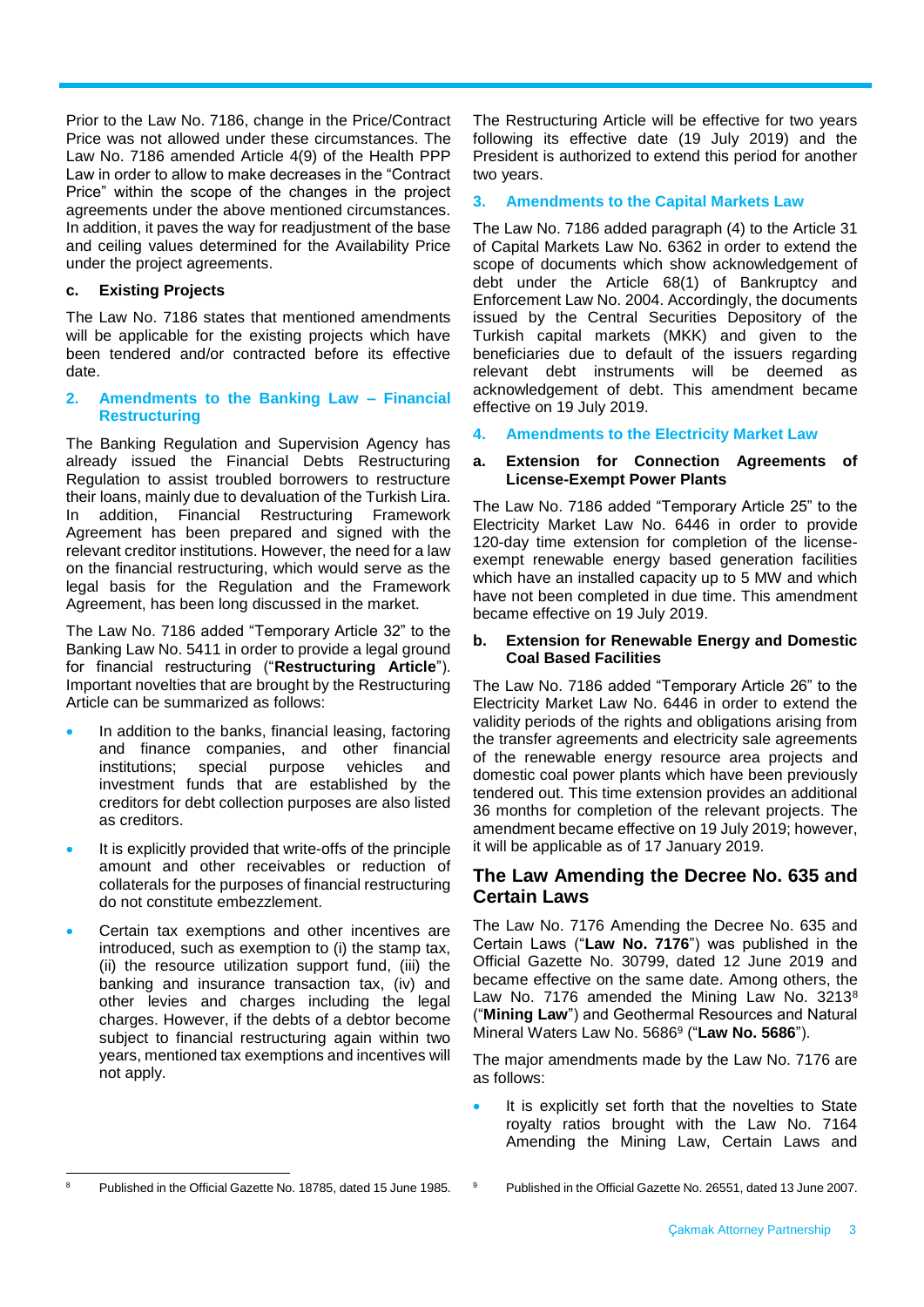Prior to the Law No. 7186, change in the Price/Contract Price was not allowed under these circumstances. The Law No. 7186 amended Article 4(9) of the Health PPP Law in order to allow to make decreases in the "Contract Price" within the scope of the changes in the project agreements under the above mentioned circumstances. In addition, it paves the way for readjustment of the base and ceiling values determined for the Availability Price under the project agreements.

#### **c. Existing Projects**

The Law No. 7186 states that mentioned amendments will be applicable for the existing projects which have been tendered and/or contracted before its effective date.

#### **2. Amendments to the Banking Law – Financial Restructuring**

The Banking Regulation and Supervision Agency has already issued the Financial Debts Restructuring Regulation to assist troubled borrowers to restructure their loans, mainly due to devaluation of the Turkish Lira. In addition, Financial Restructuring Framework Agreement has been prepared and signed with the relevant creditor institutions. However, the need for a law on the financial restructuring, which would serve as the legal basis for the Regulation and the Framework Agreement, has been long discussed in the market.

The Law No. 7186 added "Temporary Article 32" to the Banking Law No. 5411 in order to provide a legal ground for financial restructuring ("**Restructuring Article**"). Important novelties that are brought by the Restructuring Article can be summarized as follows:

- In addition to the banks, financial leasing, factoring and finance companies, and other financial institutions; special purpose vehicles and investment funds that are established by the creditors for debt collection purposes are also listed as creditors.
- It is explicitly provided that write-offs of the principle amount and other receivables or reduction of collaterals for the purposes of financial restructuring do not constitute embezzlement.
- Certain tax exemptions and other incentives are introduced, such as exemption to (i) the stamp tax, (ii) the resource utilization support fund, (iii) the banking and insurance transaction tax, (iv) and other levies and charges including the legal charges. However, if the debts of a debtor become subject to financial restructuring again within two years, mentioned tax exemptions and incentives will not apply.

The Restructuring Article will be effective for two years following its effective date (19 July 2019) and the President is authorized to extend this period for another two years.

## **3. Amendments to the Capital Markets Law**

The Law No. 7186 added paragraph (4) to the Article 31 of Capital Markets Law No. 6362 in order to extend the scope of documents which show acknowledgement of debt under the Article 68(1) of Bankruptcy and Enforcement Law No. 2004. Accordingly, the documents issued by the Central Securities Depository of the Turkish capital markets (MKK) and given to the beneficiaries due to default of the issuers regarding relevant debt instruments will be deemed as acknowledgement of debt. This amendment became effective on 19 July 2019.

#### **4. Amendments to the Electricity Market Law**

#### **a. Extension for Connection Agreements of License-Exempt Power Plants**

The Law No. 7186 added "Temporary Article 25" to the Electricity Market Law No. 6446 in order to provide 120-day time extension for completion of the licenseexempt renewable energy based generation facilities which have an installed capacity up to 5 MW and which have not been completed in due time. This amendment became effective on 19 July 2019.

#### **b. Extension for Renewable Energy and Domestic Coal Based Facilities**

The Law No. 7186 added "Temporary Article 26" to the Electricity Market Law No. 6446 in order to extend the validity periods of the rights and obligations arising from the transfer agreements and electricity sale agreements of the renewable energy resource area projects and domestic coal power plants which have been previously tendered out. This time extension provides an additional 36 months for completion of the relevant projects. The amendment became effective on 19 July 2019; however, it will be applicable as of 17 January 2019.

## **The Law Amending the Decree No. 635 and Certain Laws**

The Law No. 7176 Amending the Decree No. 635 and Certain Laws ("**Law No. 7176**") was published in the Official Gazette No. 30799, dated 12 June 2019 and became effective on the same date. Among others, the Law No. 7176 amended the Mining Law No. 3213<sup>8</sup> ("**Mining Law**") and Geothermal Resources and Natural Mineral Waters Law No. 5686<sup>9</sup> ("**Law No. 5686**").

The major amendments made by the Law No. 7176 are as follows:

 It is explicitly set forth that the novelties to State royalty ratios brought with the Law No. 7164 Amending the Mining Law, Certain Laws and

Published in the Official Gazette No. 18785, dated 15 June 1985.

Published in the Official Gazette No. 26551, dated 13 June 2007.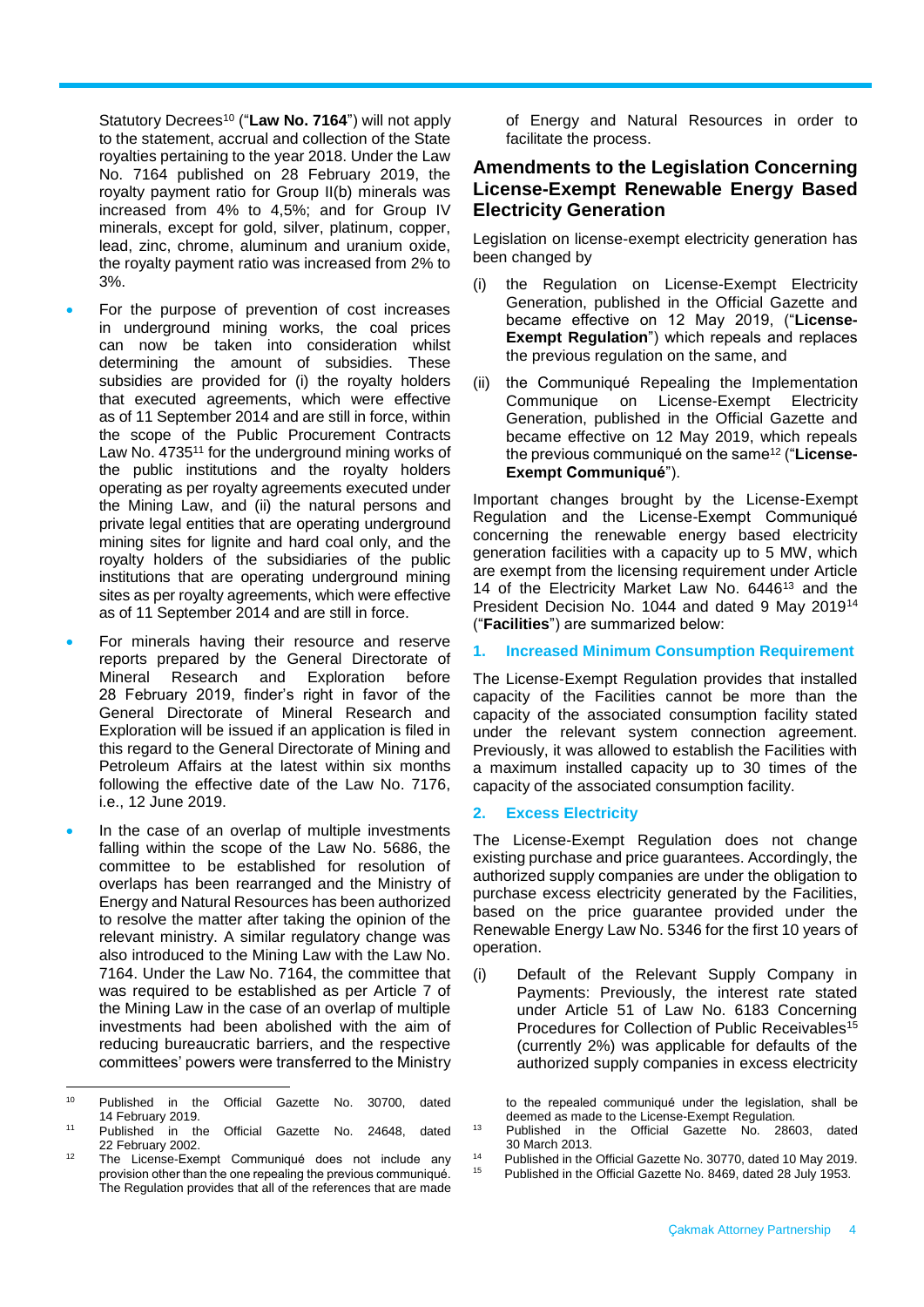Statutory Decrees<sup>10</sup> ("**Law No. 7164**") will not apply to the statement, accrual and collection of the State royalties pertaining to the year 2018. Under the Law No. 7164 published on 28 February 2019, the royalty payment ratio for Group II(b) minerals was increased from 4% to 4,5%; and for Group IV minerals, except for gold, silver, platinum, copper, lead, zinc, chrome, aluminum and uranium oxide, the royalty payment ratio was increased from 2% to 3%.

- For the purpose of prevention of cost increases in underground mining works, the coal prices can now be taken into consideration whilst determining the amount of subsidies. These subsidies are provided for (i) the royalty holders that executed agreements, which were effective as of 11 September 2014 and are still in force, within the scope of the Public Procurement Contracts Law No. 4735<sup>11</sup> for the underground mining works of the public institutions and the royalty holders operating as per royalty agreements executed under the Mining Law, and (ii) the natural persons and private legal entities that are operating underground mining sites for lignite and hard coal only, and the royalty holders of the subsidiaries of the public institutions that are operating underground mining sites as per royalty agreements, which were effective as of 11 September 2014 and are still in force.
- For minerals having their resource and reserve reports prepared by the General Directorate of Mineral Research and Exploration before 28 February 2019, finder's right in favor of the General Directorate of Mineral Research and Exploration will be issued if an application is filed in this regard to the General Directorate of Mining and Petroleum Affairs at the latest within six months following the effective date of the Law No. 7176, i.e., 12 June 2019.
- In the case of an overlap of multiple investments falling within the scope of the Law No. 5686, the committee to be established for resolution of overlaps has been rearranged and the Ministry of Energy and Natural Resources has been authorized to resolve the matter after taking the opinion of the relevant ministry. A similar regulatory change was also introduced to the Mining Law with the Law No. 7164. Under the Law No. 7164, the committee that was required to be established as per Article 7 of the Mining Law in the case of an overlap of multiple investments had been abolished with the aim of reducing bureaucratic barriers, and the respective committees' powers were transferred to the Ministry

of Energy and Natural Resources in order to facilitate the process.

## **Amendments to the Legislation Concerning License-Exempt Renewable Energy Based Electricity Generation**

Legislation on license-exempt electricity generation has been changed by

- (i) the Regulation on License-Exempt Electricity Generation, published in the Official Gazette and became effective on 12 May 2019, ("**License-Exempt Regulation**") which repeals and replaces the previous regulation on the same, and
- (ii) the Communiqué Repealing the Implementation Communique on License-Exempt Electricity Generation, published in the Official Gazette and became effective on 12 May 2019, which repeals the previous communiqué on the same<sup>12</sup> ("**License-Exempt Communiqué**").

Important changes brought by the License-Exempt Regulation and the License-Exempt Communiqué concerning the renewable energy based electricity generation facilities with a capacity up to 5 MW, which are exempt from the licensing requirement under Article 14 of the Electricity Market Law No. 6446<sup>13</sup> and the President Decision No. 1044 and dated 9 May 2019<sup>14</sup> ("**Facilities**") are summarized below:

#### **1. Increased Minimum Consumption Requirement**

The License-Exempt Regulation provides that installed capacity of the Facilities cannot be more than the capacity of the associated consumption facility stated under the relevant system connection agreement. Previously, it was allowed to establish the Facilities with a maximum installed capacity up to 30 times of the capacity of the associated consumption facility.

#### **2. Excess Electricity**

The License-Exempt Regulation does not change existing purchase and price guarantees. Accordingly, the authorized supply companies are under the obligation to purchase excess electricity generated by the Facilities, based on the price guarantee provided under the Renewable Energy Law No. 5346 for the first 10 years of operation.

(i) Default of the Relevant Supply Company in Payments: Previously, the interest rate stated under Article 51 of Law No. 6183 Concerning Procedures for Collection of Public Receivables<sup>15</sup> (currently 2%) was applicable for defaults of the authorized supply companies in excess electricity

to the repealed communiqué under the legislation, shall be deemed as made to the License-Exempt Regulation.

- 13 Published in the Official Gazette No. 28603, dated 30 March 2013.
- 14 15 Published in the Official Gazette No. 30770, dated 10 May 2019.
- Published in the Official Gazette No. 8469, dated 28 July 1953.

<sup>10</sup> Published in the Official Gazette No. 30700, dated 14 February 2019.

<sup>11</sup> Published in the Official Gazette No. 24648, dated 22 February 2002.

 $12$  The License-Exempt Communiqué does not include any provision other than the one repealing the previous communiqué. The Regulation provides that all of the references that are made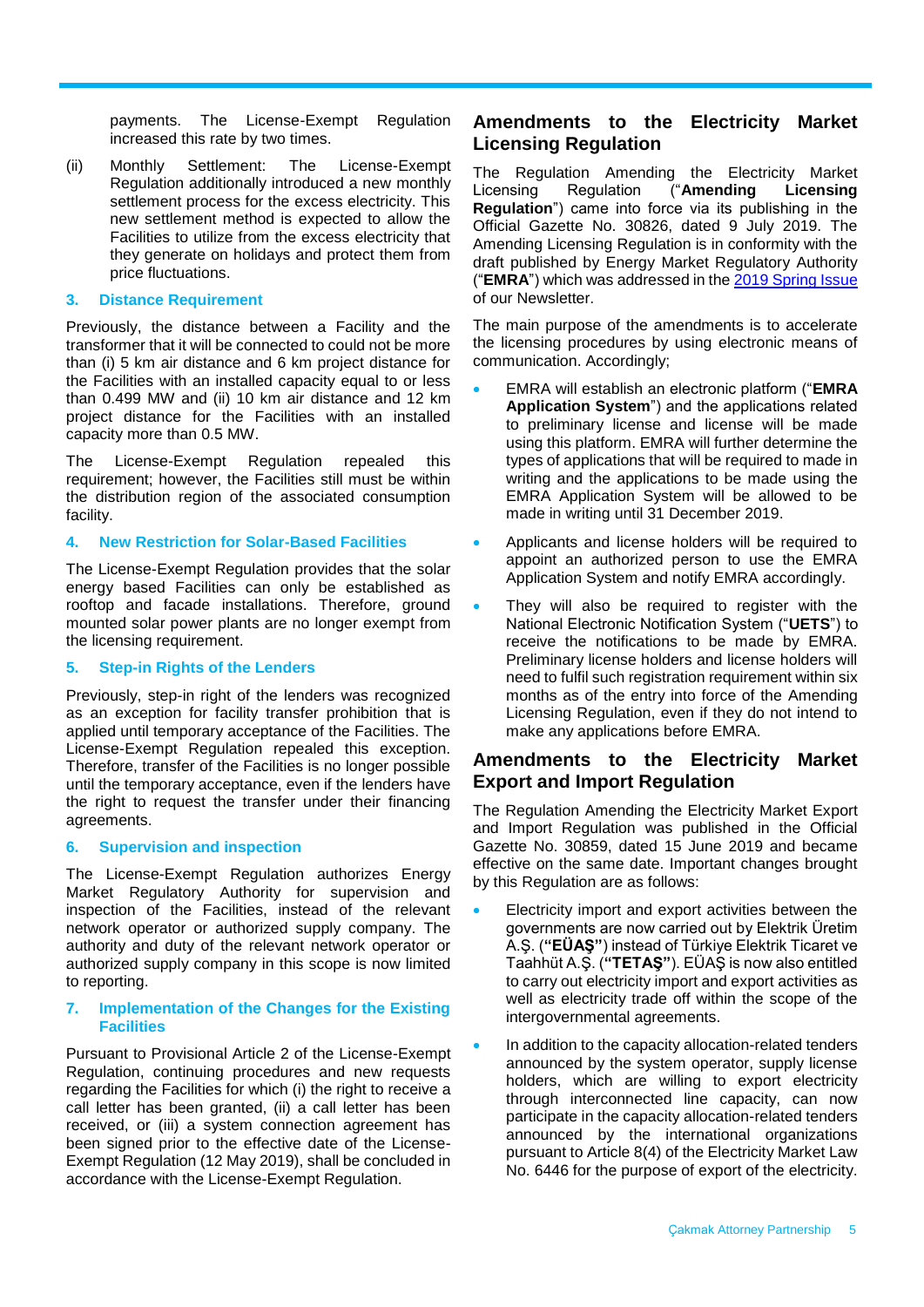payments. The License-Exempt Regulation increased this rate by two times.

(ii) Monthly Settlement: The License-Exempt Regulation additionally introduced a new monthly settlement process for the excess electricity. This new settlement method is expected to allow the Facilities to utilize from the excess electricity that they generate on holidays and protect them from price fluctuations.

#### **3. Distance Requirement**

Previously, the distance between a Facility and the transformer that it will be connected to could not be more than (i) 5 km air distance and 6 km project distance for the Facilities with an installed capacity equal to or less than 0.499 MW and (ii) 10 km air distance and 12 km project distance for the Facilities with an installed capacity more than 0.5 MW.

The License-Exempt Regulation repealed this requirement; however, the Facilities still must be within the distribution region of the associated consumption facility.

#### **4. New Restriction for Solar-Based Facilities**

The License-Exempt Regulation provides that the solar energy based Facilities can only be established as rooftop and facade installations. Therefore, ground mounted solar power plants are no longer exempt from the licensing requirement.

#### **5. Step-in Rights of the Lenders**

Previously, step-in right of the lenders was recognized as an exception for facility transfer prohibition that is applied until temporary acceptance of the Facilities. The License-Exempt Regulation repealed this exception. Therefore, transfer of the Facilities is no longer possible until the temporary acceptance, even if the lenders have the right to request the transfer under their financing agreements.

## **6. Supervision and inspection**

The License-Exempt Regulation authorizes Energy Market Regulatory Authority for supervision and inspection of the Facilities, instead of the relevant network operator or authorized supply company. The authority and duty of the relevant network operator or authorized supply company in this scope is now limited to reporting.

#### **7. Implementation of the Changes for the Existing Facilities**

Pursuant to Provisional Article 2 of the License-Exempt Regulation, continuing procedures and new requests regarding the Facilities for which (i) the right to receive a call letter has been granted, (ii) a call letter has been received, or (iii) a system connection agreement has been signed prior to the effective date of the License-Exempt Regulation (12 May 2019), shall be concluded in accordance with the License-Exempt Regulation.

## **Amendments to the Electricity Market Licensing Regulation**

The Regulation Amending the Electricity Market Licensing Regulation ("**Amending Licensing Regulation**") came into force via its publishing in the Official Gazette No. 30826, dated 9 July 2019. The Amending Licensing Regulation is in conformity with the draft published by Energy Market Regulatory Authority ("**EMRA**") which was addressed in the [2019 Spring Issue](http://www.cakmak.av.tr/newsletters/Newsletter2019Spring.pdf) of our Newsletter.

The main purpose of the amendments is to accelerate the licensing procedures by using electronic means of communication. Accordingly;

- EMRA will establish an electronic platform ("**EMRA Application System**") and the applications related to preliminary license and license will be made using this platform. EMRA will further determine the types of applications that will be required to made in writing and the applications to be made using the EMRA Application System will be allowed to be made in writing until 31 December 2019.
- Applicants and license holders will be required to appoint an authorized person to use the EMRA Application System and notify EMRA accordingly.
- They will also be required to register with the National Electronic Notification System ("**UETS**") to receive the notifications to be made by EMRA. Preliminary license holders and license holders will need to fulfil such registration requirement within six months as of the entry into force of the Amending Licensing Regulation, even if they do not intend to make any applications before EMRA.

## **Amendments to the Electricity Market Export and Import Regulation**

The Regulation Amending the Electricity Market Export and Import Regulation was published in the Official Gazette No. 30859, dated 15 June 2019 and became effective on the same date. Important changes brought by this Regulation are as follows:

- Electricity import and export activities between the governments are now carried out by Elektrik Üretim A.Ş. (**"EÜAŞ"**) instead of Türkiye Elektrik Ticaret ve Taahhüt A.Ş. (**"TETAŞ"**). EÜAŞ is now also entitled to carry out electricity import and export activities as well as electricity trade off within the scope of the intergovernmental agreements.
- In addition to the capacity allocation-related tenders announced by the system operator, supply license holders, which are willing to export electricity through interconnected line capacity, can now participate in the capacity allocation-related tenders announced by the international organizations pursuant to Article 8(4) of the Electricity Market Law No. 6446 for the purpose of export of the electricity.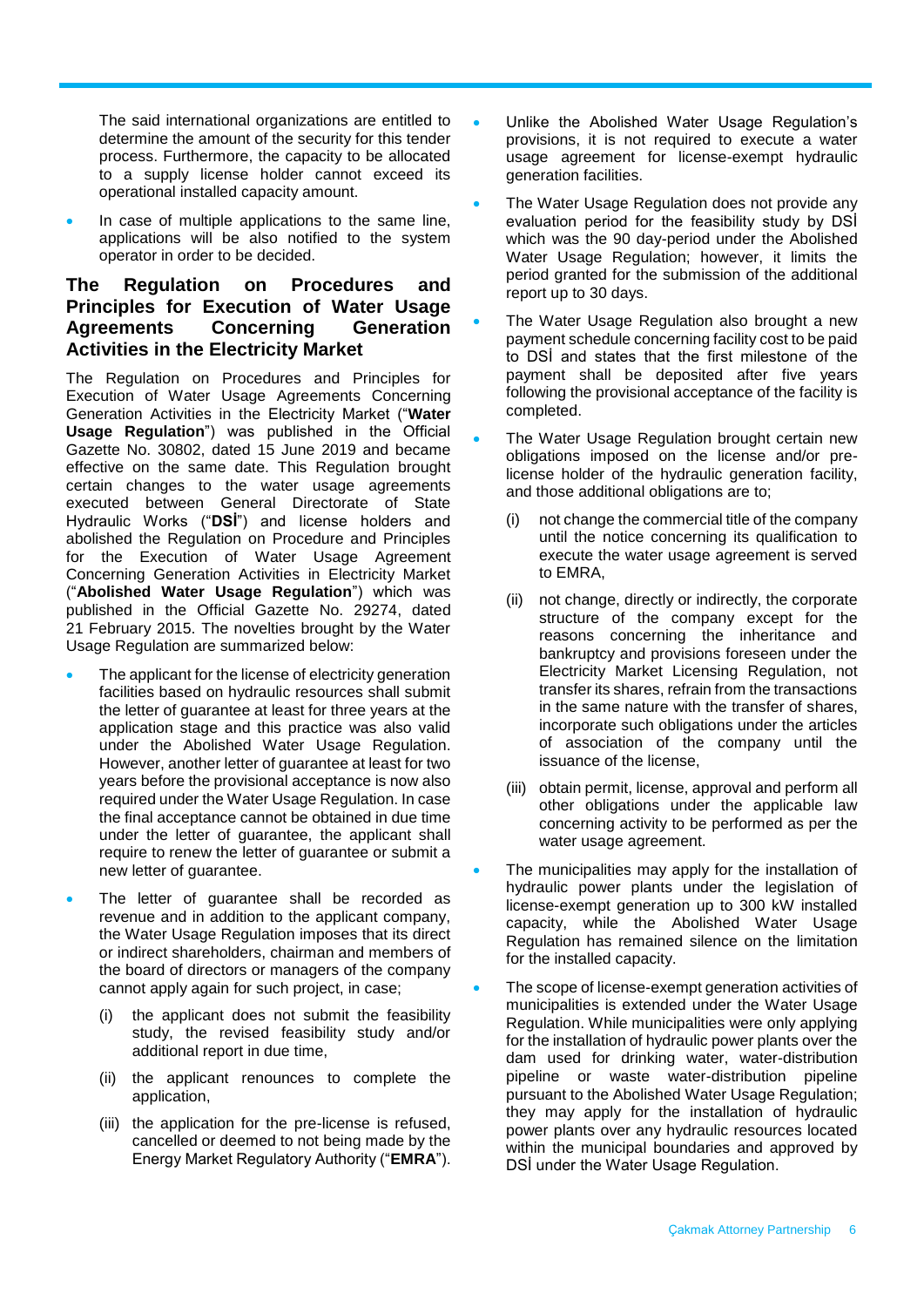The said international organizations are entitled to determine the amount of the security for this tender process. Furthermore, the capacity to be allocated to a supply license holder cannot exceed its operational installed capacity amount.

 In case of multiple applications to the same line, applications will be also notified to the system operator in order to be decided.

## **The Regulation on Procedures and Principles for Execution of Water Usage Agreements Concerning Generation Activities in the Electricity Market**

The Regulation on Procedures and Principles for Execution of Water Usage Agreements Concerning Generation Activities in the Electricity Market ("**Water Usage Regulation**") was published in the Official Gazette No. 30802, dated 15 June 2019 and became effective on the same date. This Regulation brought certain changes to the water usage agreements executed between General Directorate of State Hydraulic Works ("**DSİ**") and license holders and abolished the Regulation on Procedure and Principles for the Execution of Water Usage Agreement Concerning Generation Activities in Electricity Market ("**Abolished Water Usage Regulation**") which was published in the Official Gazette No. 29274, dated 21 February 2015. The novelties brought by the Water Usage Regulation are summarized below:

- The applicant for the license of electricity generation facilities based on hydraulic resources shall submit the letter of guarantee at least for three years at the application stage and this practice was also valid under the Abolished Water Usage Regulation. However, another letter of guarantee at least for two years before the provisional acceptance is now also required under the Water Usage Regulation. In case the final acceptance cannot be obtained in due time under the letter of guarantee, the applicant shall require to renew the letter of guarantee or submit a new letter of guarantee.
- The letter of guarantee shall be recorded as revenue and in addition to the applicant company, the Water Usage Regulation imposes that its direct or indirect shareholders, chairman and members of the board of directors or managers of the company cannot apply again for such project, in case;
	- (i) the applicant does not submit the feasibility study, the revised feasibility study and/or additional report in due time,
	- (ii) the applicant renounces to complete the application,
	- (iii) the application for the pre-license is refused, cancelled or deemed to not being made by the Energy Market Regulatory Authority ("**EMRA**").
- Unlike the Abolished Water Usage Regulation's provisions, it is not required to execute a water usage agreement for license-exempt hydraulic generation facilities.
- The Water Usage Regulation does not provide any evaluation period for the feasibility study by DSİ which was the 90 day-period under the Abolished Water Usage Regulation; however, it limits the period granted for the submission of the additional report up to 30 days.
- The Water Usage Regulation also brought a new payment schedule concerning facility cost to be paid to DSİ and states that the first milestone of the payment shall be deposited after five years following the provisional acceptance of the facility is completed.
- The Water Usage Regulation brought certain new obligations imposed on the license and/or prelicense holder of the hydraulic generation facility, and those additional obligations are to;
	- (i) not change the commercial title of the company until the notice concerning its qualification to execute the water usage agreement is served to EMRA,
	- (ii) not change, directly or indirectly, the corporate structure of the company except for the reasons concerning the inheritance and bankruptcy and provisions foreseen under the Electricity Market Licensing Regulation, not transfer its shares, refrain from the transactions in the same nature with the transfer of shares, incorporate such obligations under the articles of association of the company until the issuance of the license,
	- (iii) obtain permit, license, approval and perform all other obligations under the applicable law concerning activity to be performed as per the water usage agreement.
- The municipalities may apply for the installation of hydraulic power plants under the legislation of license-exempt generation up to 300 kW installed capacity, while the Abolished Water Usage Regulation has remained silence on the limitation for the installed capacity.
- The scope of license-exempt generation activities of municipalities is extended under the Water Usage Regulation. While municipalities were only applying for the installation of hydraulic power plants over the dam used for drinking water, water-distribution pipeline or waste water-distribution pipeline pursuant to the Abolished Water Usage Regulation; they may apply for the installation of hydraulic power plants over any hydraulic resources located within the municipal boundaries and approved by DSİ under the Water Usage Regulation.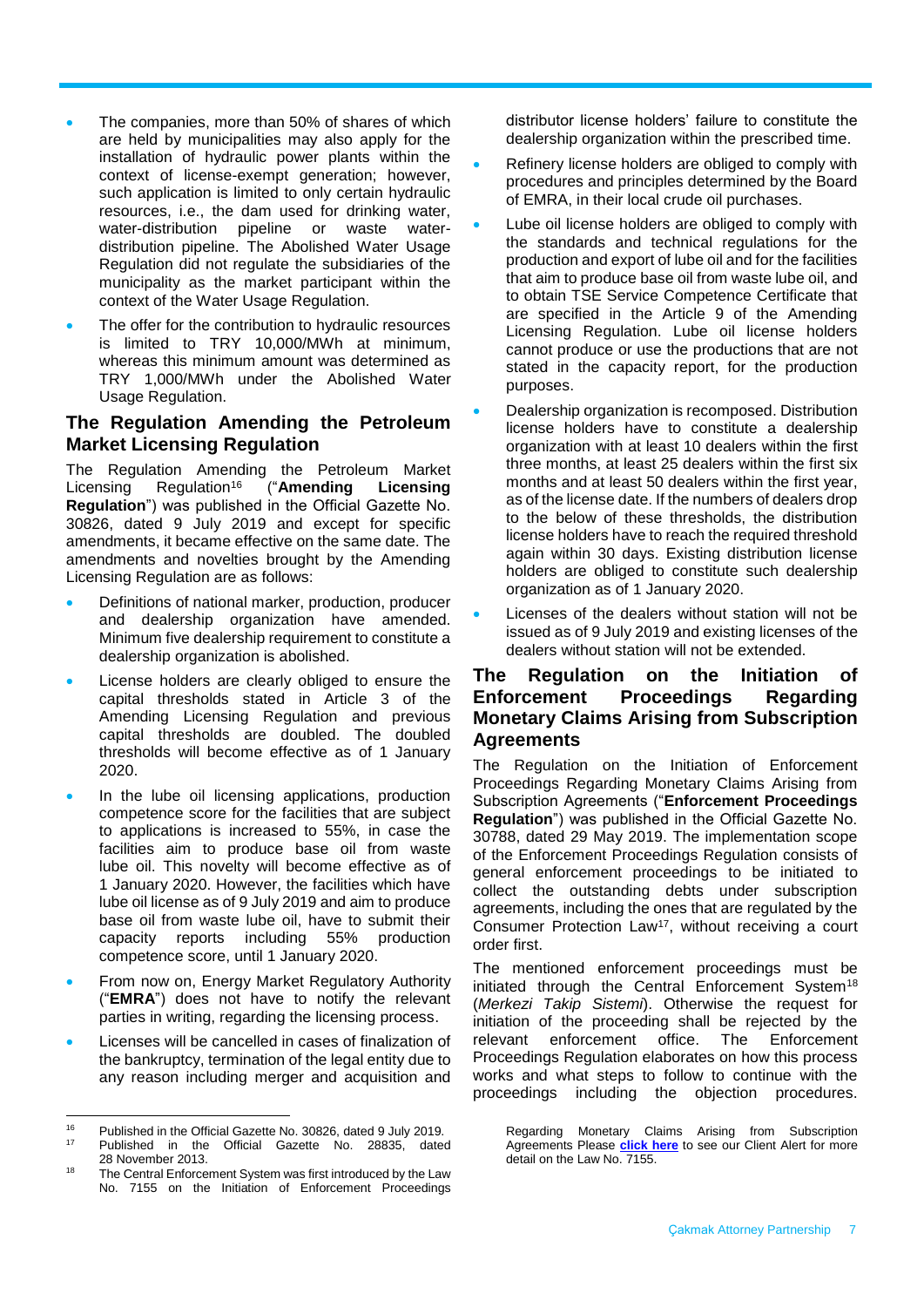- The companies, more than 50% of shares of which are held by municipalities may also apply for the installation of hydraulic power plants within the context of license-exempt generation; however, such application is limited to only certain hydraulic resources, i.e., the dam used for drinking water, water-distribution pipeline or waste waterdistribution pipeline. The Abolished Water Usage Regulation did not regulate the subsidiaries of the municipality as the market participant within the context of the Water Usage Regulation.
- The offer for the contribution to hydraulic resources is limited to TRY 10,000/MWh at minimum, whereas this minimum amount was determined as TRY 1,000/MWh under the Abolished Water Usage Regulation.

## **The Regulation Amending the Petroleum Market Licensing Regulation**

The Regulation Amending the Petroleum Market Licensing Regulation<sup>16</sup> ("**Amending Licensing Regulation**") was published in the Official Gazette No. 30826, dated 9 July 2019 and except for specific amendments, it became effective on the same date. The amendments and novelties brought by the Amending Licensing Regulation are as follows:

- Definitions of national marker, production, producer and dealership organization have amended. Minimum five dealership requirement to constitute a dealership organization is abolished.
- License holders are clearly obliged to ensure the capital thresholds stated in Article 3 of the Amending Licensing Regulation and previous capital thresholds are doubled. The doubled thresholds will become effective as of 1 January 2020.
- In the lube oil licensing applications, production competence score for the facilities that are subject to applications is increased to 55%, in case the facilities aim to produce base oil from waste lube oil. This novelty will become effective as of 1 January 2020. However, the facilities which have lube oil license as of 9 July 2019 and aim to produce base oil from waste lube oil, have to submit their capacity reports including 55% production competence score, until 1 January 2020.
- From now on, Energy Market Regulatory Authority ("**EMRA**") does not have to notify the relevant parties in writing, regarding the licensing process.
- Licenses will be cancelled in cases of finalization of the bankruptcy, termination of the legal entity due to any reason including merger and acquisition and

distributor license holders' failure to constitute the dealership organization within the prescribed time.

- Refinery license holders are obliged to comply with procedures and principles determined by the Board of EMRA, in their local crude oil purchases.
- Lube oil license holders are obliged to comply with the standards and technical regulations for the production and export of lube oil and for the facilities that aim to produce base oil from waste lube oil, and to obtain TSE Service Competence Certificate that are specified in the Article 9 of the Amending Licensing Regulation. Lube oil license holders cannot produce or use the productions that are not stated in the capacity report, for the production purposes.
- Dealership organization is recomposed. Distribution license holders have to constitute a dealership organization with at least 10 dealers within the first three months, at least 25 dealers within the first six months and at least 50 dealers within the first year, as of the license date. If the numbers of dealers drop to the below of these thresholds, the distribution license holders have to reach the required threshold again within 30 days. Existing distribution license holders are obliged to constitute such dealership organization as of 1 January 2020.
- Licenses of the dealers without station will not be issued as of 9 July 2019 and existing licenses of the dealers without station will not be extended.

## **The Regulation on the Initiation of Enforcement Proceedings Regarding Monetary Claims Arising from Subscription Agreements**

The Regulation on the Initiation of Enforcement Proceedings Regarding Monetary Claims Arising from Subscription Agreements ("**Enforcement Proceedings Regulation**") was published in the Official Gazette No. 30788, dated 29 May 2019. The implementation scope of the Enforcement Proceedings Regulation consists of general enforcement proceedings to be initiated to collect the outstanding debts under subscription agreements, including the ones that are regulated by the Consumer Protection Law<sup>17</sup>, without receiving a court order first.

The mentioned enforcement proceedings must be initiated through the Central Enforcement System<sup>18</sup> (*Merkezi Takip Sistemi*). Otherwise the request for initiation of the proceeding shall be rejected by the relevant enforcement office. The Enforcement Proceedings Regulation elaborates on how this process works and what steps to follow to continue with the proceedings including the objection procedures.

<sup>&</sup>lt;sup>16</sup> Published in the Official Gazette No. 30826, dated 9 July 2019.

Published in the Official Gazette No. 28835, dated 28 November 2013.

<sup>&</sup>lt;sup>18</sup> The Central Enforcement System was first introduced by the Law No. 7155 on the Initiation of Enforcement Proceedings

Regarding Monetary Claims Arising from Subscription Agreements Please **[click here](http://www.cakmak.av.tr/articles/Dispute_Resolution/771081993.pdf)** to see our Client Alert for more detail on the Law No. 7155.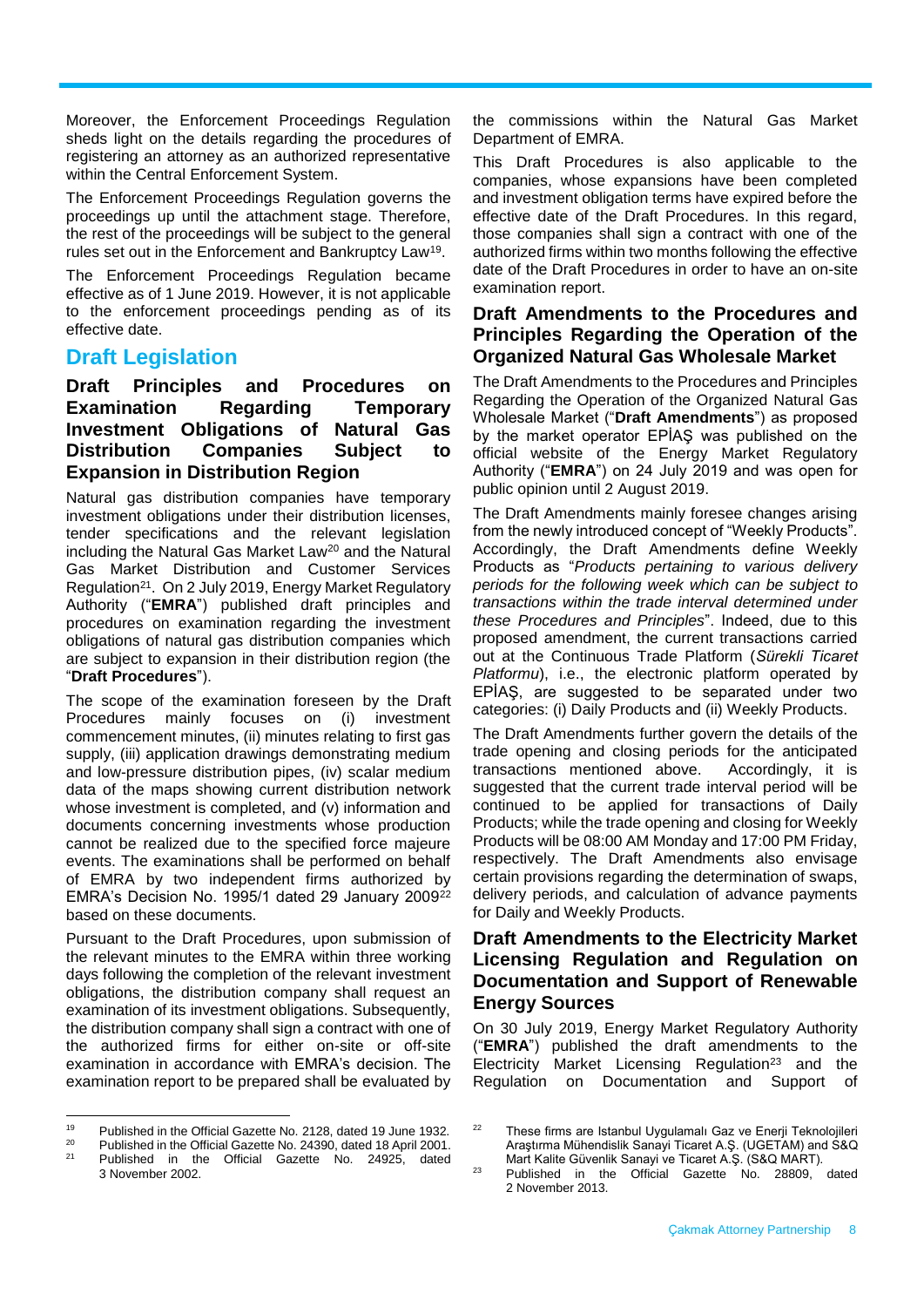Moreover, the Enforcement Proceedings Regulation sheds light on the details regarding the procedures of registering an attorney as an authorized representative within the Central Enforcement System.

The Enforcement Proceedings Regulation governs the proceedings up until the attachment stage. Therefore, the rest of the proceedings will be subject to the general rules set out in the Enforcement and Bankruptcy Law<sup>19</sup>.

The Enforcement Proceedings Regulation became effective as of 1 June 2019. However, it is not applicable to the enforcement proceedings pending as of its effective date.

## **Draft Legislation**

**Draft Principles and Procedures on Examination Regarding Temporary Investment Obligations of Natural Gas Distribution Companies Subject to Expansion in Distribution Region**

Natural gas distribution companies have temporary investment obligations under their distribution licenses, tender specifications and the relevant legislation including the Natural Gas Market Law<sup>20</sup> and the Natural Gas Market Distribution and Customer Services Regulation<sup>21</sup>. On 2 July 2019, Energy Market Regulatory Authority ("**EMRA**") published draft principles and procedures on examination regarding the investment obligations of natural gas distribution companies which are subject to expansion in their distribution region (the "**Draft Procedures**").

The scope of the examination foreseen by the Draft Procedures mainly focuses on (i) investment commencement minutes, (ii) minutes relating to first gas supply, (iii) application drawings demonstrating medium and low-pressure distribution pipes, (iv) scalar medium data of the maps showing current distribution network whose investment is completed, and (v) information and documents concerning investments whose production cannot be realized due to the specified force majeure events. The examinations shall be performed on behalf of EMRA by two independent firms authorized by EMRA's Decision No. 1995/1 dated 29 January 2009<sup>22</sup> based on these documents.

Pursuant to the Draft Procedures, upon submission of the relevant minutes to the EMRA within three working days following the completion of the relevant investment obligations, the distribution company shall request an examination of its investment obligations. Subsequently, the distribution company shall sign a contract with one of the authorized firms for either on-site or off-site examination in accordance with EMRA's decision. The examination report to be prepared shall be evaluated by

the commissions within the Natural Gas Market Department of EMRA.

This Draft Procedures is also applicable to the companies, whose expansions have been completed and investment obligation terms have expired before the effective date of the Draft Procedures. In this regard, those companies shall sign a contract with one of the authorized firms within two months following the effective date of the Draft Procedures in order to have an on-site examination report.

## **Draft Amendments to the Procedures and Principles Regarding the Operation of the Organized Natural Gas Wholesale Market**

The Draft Amendments to the Procedures and Principles Regarding the Operation of the Organized Natural Gas Wholesale Market ("**Draft Amendments**") as proposed by the market operator EPİAŞ was published on the official website of the Energy Market Regulatory Authority ("**EMRA**") on 24 July 2019 and was open for public opinion until 2 August 2019.

The Draft Amendments mainly foresee changes arising from the newly introduced concept of "Weekly Products". Accordingly, the Draft Amendments define Weekly Products as "*Products pertaining to various delivery periods for the following week which can be subject to transactions within the trade interval determined under these Procedures and Principles*". Indeed, due to this proposed amendment, the current transactions carried out at the Continuous Trade Platform (*Sürekli Ticaret Platformu*), i.e., the electronic platform operated by EPİAŞ, are suggested to be separated under two categories: (i) Daily Products and (ii) Weekly Products.

The Draft Amendments further govern the details of the trade opening and closing periods for the anticipated transactions mentioned above. Accordingly, it is suggested that the current trade interval period will be continued to be applied for transactions of Daily Products; while the trade opening and closing for Weekly Products will be 08:00 AM Monday and 17:00 PM Friday, respectively. The Draft Amendments also envisage certain provisions regarding the determination of swaps, delivery periods, and calculation of advance payments for Daily and Weekly Products.

## **Draft Amendments to the Electricity Market Licensing Regulation and Regulation on Documentation and Support of Renewable Energy Sources**

On 30 July 2019, Energy Market Regulatory Authority ("**EMRA**") published the draft amendments to the Electricity Market Licensing Regulation<sup>23</sup> and the Regulation on Documentation and Support of

<sup>&</sup>lt;sup>19</sup> Published in the Official Gazette No. 2128, dated 19 June 1932.<br><sup>20</sup> Published in the Official Cazatte No. 24200, dated 19 April 2001.

<sup>&</sup>lt;sup>20</sup> Published in the Official Gazette No. 24390, dated 18 April 2001. Published in the Official Gazette No. 24925, dated 3 November 2002.

<sup>22</sup> These firms are Istanbul Uygulamalı Gaz ve Enerji Teknolojileri Araştırma Mühendislik Sanayi Ticaret A.Ş. (UGETAM) and S&Q Mart Kalite Güvenlik Sanayi ve Ticaret A.Ş. (S&Q MART).

<sup>&</sup>lt;sup>23</sup> Published in the Official Gazette No. 28809, dated 2 November 2013.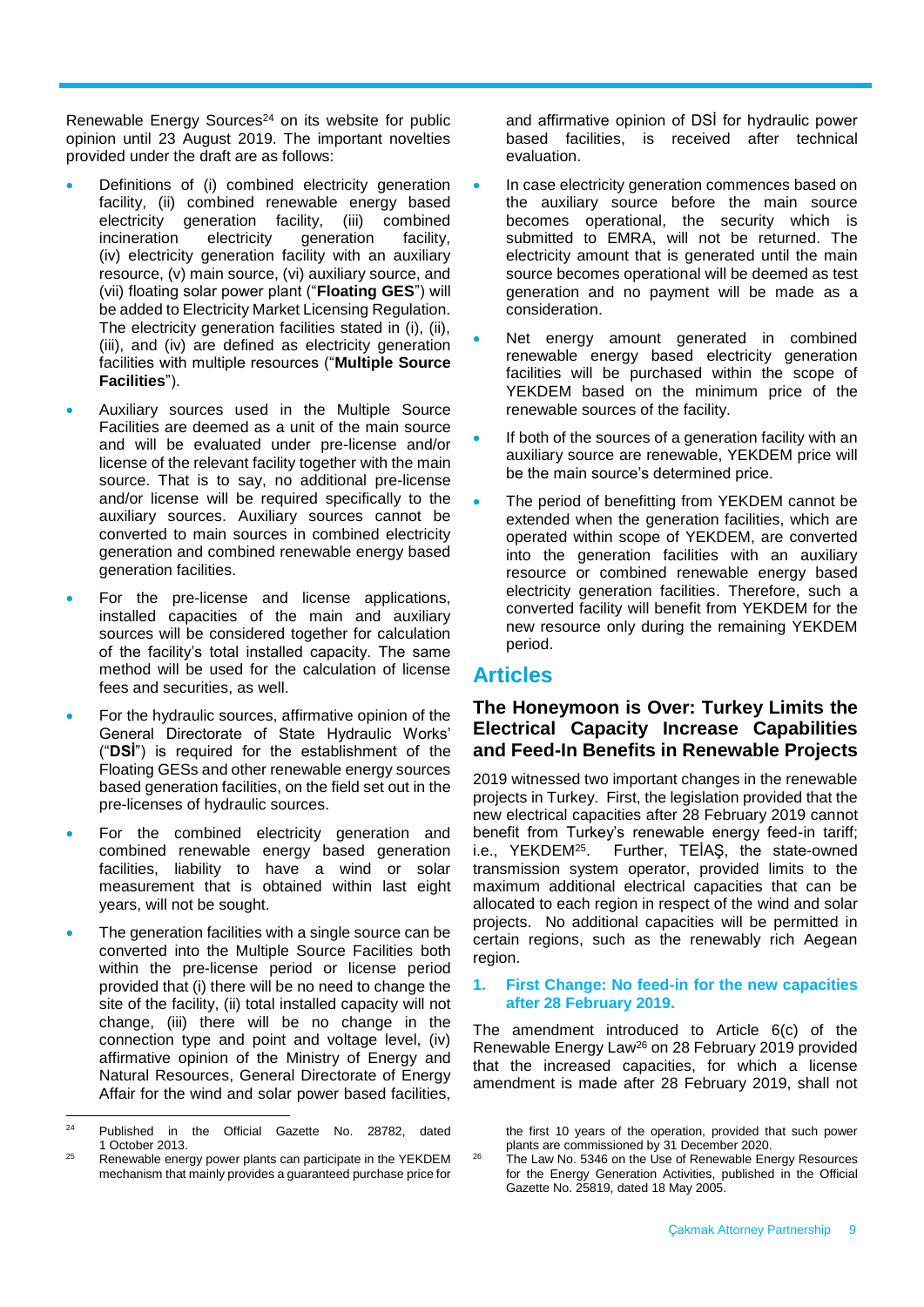Renewable Energy Sources<sup>24</sup> on its website for public opinion until 23 August 2019. The important novelties provided under the draft are as follows:

- Definitions of (i) combined electricity generation facility, (ii) combined renewable energy based electricity generation facility, (iii) combined incineration electricity generation facility, (iv) electricity generation facility with an auxiliary resource, (v) main source, (vi) auxiliary source, and (vii) floating solar power plant ("**Floating GES**") will be added to Electricity Market Licensing Regulation. The electricity generation facilities stated in (i), (ii), (iii), and (iv) are defined as electricity generation facilities with multiple resources ("**Multiple Source Facilities**").
- Auxiliary sources used in the Multiple Source Facilities are deemed as a unit of the main source and will be evaluated under pre-license and/or license of the relevant facility together with the main source. That is to say, no additional pre-license and/or license will be required specifically to the auxiliary sources. Auxiliary sources cannot be converted to main sources in combined electricity generation and combined renewable energy based generation facilities.
- For the pre-license and license applications, installed capacities of the main and auxiliary sources will be considered together for calculation of the facility's total installed capacity. The same method will be used for the calculation of license fees and securities, as well.
- For the hydraulic sources, affirmative opinion of the General Directorate of State Hydraulic Works' ("**DSİ**") is required for the establishment of the Floating GESs and other renewable energy sources based generation facilities, on the field set out in the pre-licenses of hydraulic sources.
- For the combined electricity generation and combined renewable energy based generation facilities, liability to have a wind or solar measurement that is obtained within last eight years, will not be sought.
- The generation facilities with a single source can be converted into the Multiple Source Facilities both within the pre-license period or license period provided that (i) there will be no need to change the site of the facility, (ii) total installed capacity will not change, (iii) there will be no change in the connection type and point and voltage level, (iv) affirmative opinion of the Ministry of Energy and Natural Resources, General Directorate of Energy Affair for the wind and solar power based facilities,

and affirmative opinion of DSİ for hydraulic power based facilities, is received after technical evaluation.

- In case electricity generation commences based on the auxiliary source before the main source becomes operational, the security which is submitted to EMRA, will not be returned. The electricity amount that is generated until the main source becomes operational will be deemed as test generation and no payment will be made as a consideration.
- Net energy amount generated in combined renewable energy based electricity generation facilities will be purchased within the scope of YEKDEM based on the minimum price of the renewable sources of the facility.
- If both of the sources of a generation facility with an auxiliary source are renewable, YEKDEM price will be the main source's determined price.
- The period of benefitting from YEKDEM cannot be extended when the generation facilities, which are operated within scope of YEKDEM, are converted into the generation facilities with an auxiliary resource or combined renewable energy based electricity generation facilities. Therefore, such a converted facility will benefit from YEKDEM for the new resource only during the remaining YEKDEM period.

# **Articles**

## **The Honeymoon is Over: Turkey Limits the Electrical Capacity Increase Capabilities and Feed-In Benefits in Renewable Projects**

2019 witnessed two important changes in the renewable projects in Turkey. First, the legislation provided that the new electrical capacities after 28 February 2019 cannot benefit from Turkey's renewable energy feed-in tariff; i.e., YEKDEM<sup>25</sup>. Further, TEİAŞ, the state-owned transmission system operator, provided limits to the maximum additional electrical capacities that can be allocated to each region in respect of the wind and solar projects. No additional capacities will be permitted in certain regions, such as the renewably rich Aegean region.

#### **1. First Change: No feed-in for the new capacities after 28 February 2019.**

The amendment introduced to Article 6(c) of the Renewable Energy Law<sup>26</sup> on 28 February 2019 provided that the increased capacities, for which a license amendment is made after 28 February 2019, shall not

the first 10 years of the operation, provided that such power plants are commissioned by 31 December 2020.

 $24$ Published in the Official Gazette No. 28782, dated 1 October 2013.

<sup>&</sup>lt;sup>25</sup> Renewable energy power plants can participate in the YEKDEM mechanism that mainly provides a guaranteed purchase price for

<sup>&</sup>lt;sup>26</sup> The Law No. 5346 on the Use of Renewable Energy Resources for the Energy Generation Activities, published in the Official Gazette No. 25819, dated 18 May 2005.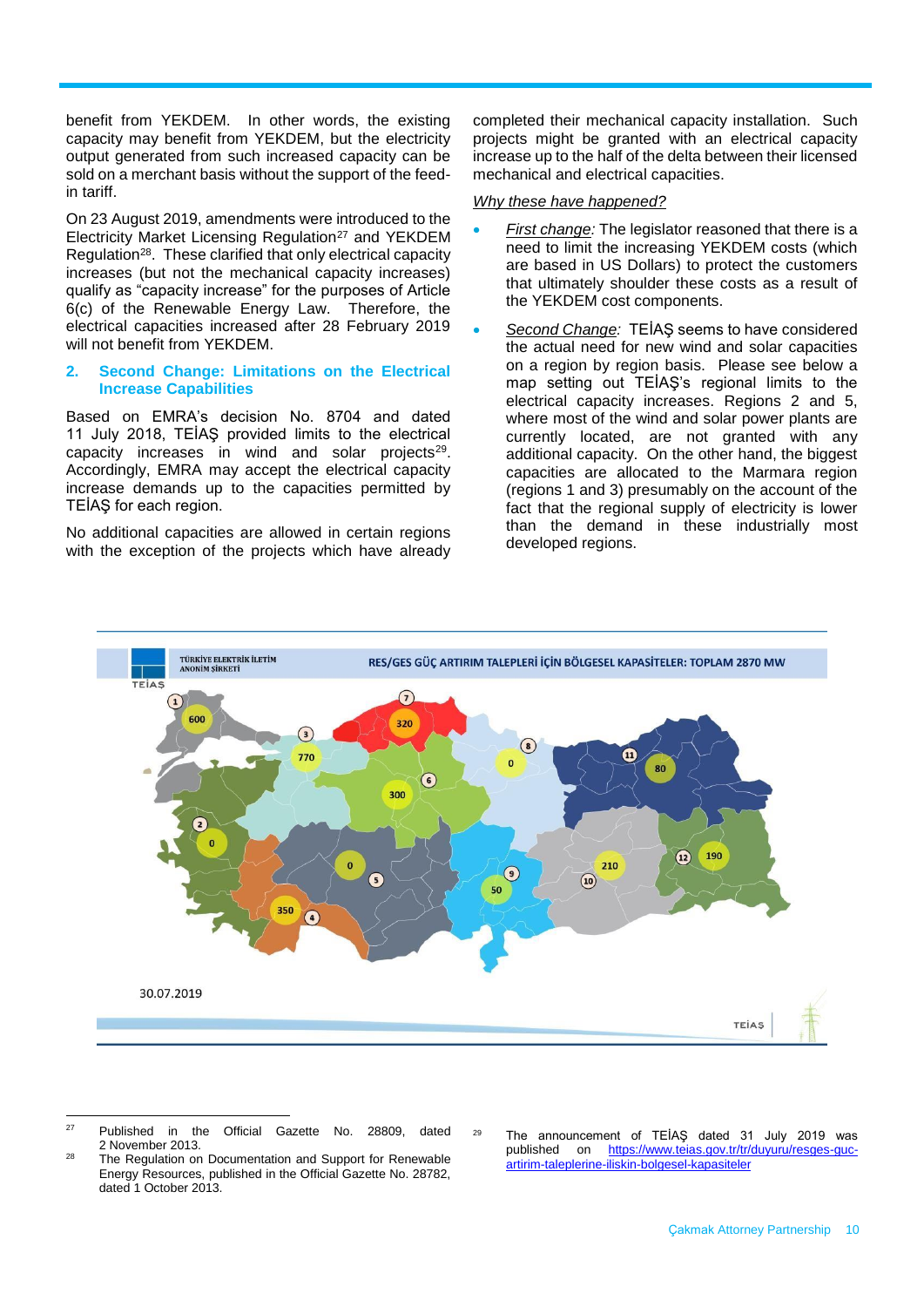benefit from YEKDEM. In other words, the existing capacity may benefit from YEKDEM, but the electricity output generated from such increased capacity can be sold on a merchant basis without the support of the feedin tariff.

On 23 August 2019, amendments were introduced to the Electricity Market Licensing Regulation<sup>27</sup> and YEKDEM Regulation<sup>28</sup>. These clarified that only electrical capacity increases (but not the mechanical capacity increases) qualify as "capacity increase" for the purposes of Article 6(c) of the Renewable Energy Law. Therefore, the electrical capacities increased after 28 February 2019 will not benefit from YEKDEM.

#### **2. Second Change: Limitations on the Electrical Increase Capabilities**

Based on EMRA's decision No. 8704 and dated 11 July 2018, TEİAŞ provided limits to the electrical capacity increases in wind and solar projects $29$ . Accordingly, EMRA may accept the electrical capacity increase demands up to the capacities permitted by TEİAŞ for each region.

No additional capacities are allowed in certain regions with the exception of the projects which have already

completed their mechanical capacity installation. Such projects might be granted with an electrical capacity increase up to the half of the delta between their licensed mechanical and electrical capacities.

#### *Why these have happened?*

- *First change:* The legislator reasoned that there is a need to limit the increasing YEKDEM costs (which are based in US Dollars) to protect the customers that ultimately shoulder these costs as a result of the YEKDEM cost components.
- *Second Change:* TEİAŞ seems to have considered the actual need for new wind and solar capacities on a region by region basis. Please see below a map setting out TEİAŞ's regional limits to the electrical capacity increases. Regions 2 and 5, where most of the wind and solar power plants are currently located, are not granted with any additional capacity. On the other hand, the biggest capacities are allocated to the Marmara region (regions 1 and 3) presumably on the account of the fact that the regional supply of electricity is lower than the demand in these industrially most developed regions.



<sup>27</sup> Published in the Official Gazette No. 28809, dated 2 November 2013.

The announcement of TEİAŞ dated 31 July 2019 was published on [https://www.teias.gov.tr/tr/duyuru/resges-guc](https://www.teias.gov.tr/tr/duyuru/resges-guc-artirim-taleplerine-iliskin-bolgesel-kapasiteler)[artirim-taleplerine-iliskin-bolgesel-kapasiteler](https://www.teias.gov.tr/tr/duyuru/resges-guc-artirim-taleplerine-iliskin-bolgesel-kapasiteler)

<sup>&</sup>lt;sup>28</sup> The Regulation on Documentation and Support for Renewable Energy Resources, published in the Official Gazette No. 28782, dated 1 October 2013.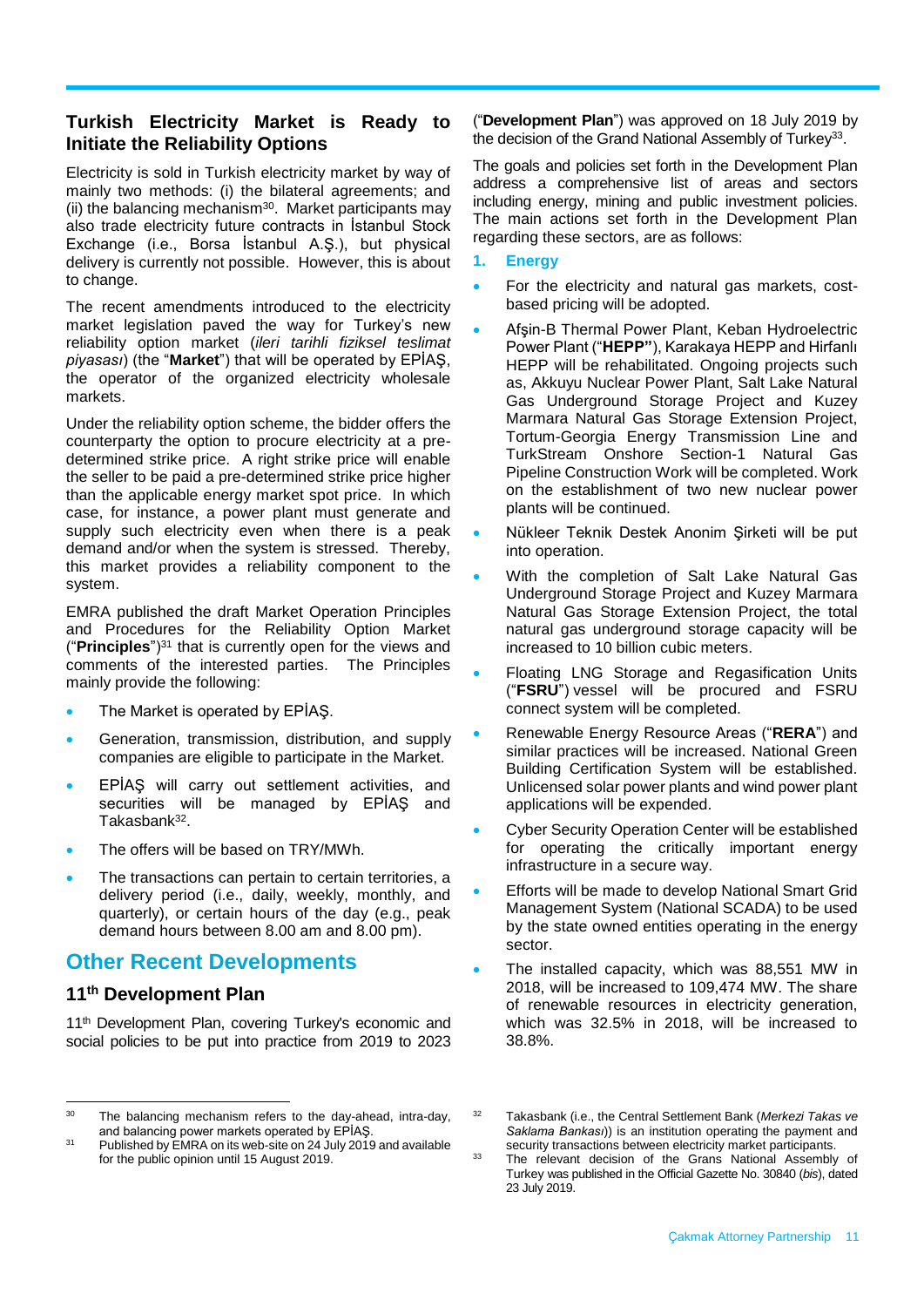## **Turkish Electricity Market is Ready to Initiate the Reliability Options**

Electricity is sold in Turkish electricity market by way of mainly two methods: (i) the bilateral agreements; and (ii) the balancing mechanism $30$ . Market participants may also trade electricity future contracts in İstanbul Stock Exchange (i.e., Borsa İstanbul A.Ş.), but physical delivery is currently not possible. However, this is about to change.

The recent amendments introduced to the electricity market legislation paved the way for Turkey's new reliability option market (*ileri tarihli fiziksel teslimat piyasası*) (the "**Market**") that will be operated by EPİAŞ, the operator of the organized electricity wholesale markets.

Under the reliability option scheme, the bidder offers the counterparty the option to procure electricity at a predetermined strike price. A right strike price will enable the seller to be paid a pre-determined strike price higher than the applicable energy market spot price. In which case, for instance, a power plant must generate and supply such electricity even when there is a peak demand and/or when the system is stressed. Thereby, this market provides a reliability component to the system.

EMRA published the draft Market Operation Principles and Procedures for the Reliability Option Market ("**Principles**")<sup>31</sup> that is currently open for the views and comments of the interested parties. The Principles mainly provide the following:

- The Market is operated by EPİAŞ.
- Generation, transmission, distribution, and supply companies are eligible to participate in the Market.
- EPİAŞ will carry out settlement activities, and securities will be managed by EPİAŞ and Takasbank<sup>32</sup>.
- The offers will be based on TRY/MWh.
- The transactions can pertain to certain territories, a delivery period (i.e., daily, weekly, monthly, and quarterly), or certain hours of the day (e.g., peak demand hours between 8.00 am and 8.00 pm).

## **Other Recent Developments**

## **11th Development Plan**

11<sup>th</sup> Development Plan, covering Turkey's economic and social policies to be put into practice from 2019 to 2023 ("**Development Plan**") was approved on 18 July 2019 by the decision of the Grand National Assembly of Turkey<sup>33</sup>.

The goals and policies set forth in the Development Plan address a comprehensive list of areas and sectors including energy, mining and public investment policies. The main actions set forth in the Development Plan regarding these sectors, are as follows:

- **1. Energy**
- For the electricity and natural gas markets, costbased pricing will be adopted.
- Afşin-B Thermal Power Plant, Keban Hydroelectric Power Plant ("**HEPP"**), Karakaya HEPP and Hirfanlı HEPP will be rehabilitated. Ongoing projects such as, Akkuyu Nuclear Power Plant, Salt Lake Natural Gas Underground Storage Project and Kuzey Marmara Natural Gas Storage Extension Project, Tortum-Georgia Energy Transmission Line and TurkStream Onshore Section-1 Natural Gas Pipeline Construction Work will be completed. Work on the establishment of two new nuclear power plants will be continued.
- Nükleer Teknik Destek Anonim Şirketi will be put into operation.
- With the completion of Salt Lake Natural Gas Underground Storage Project and Kuzey Marmara Natural Gas Storage Extension Project, the total natural gas underground storage capacity will be increased to 10 billion cubic meters.
- Floating LNG Storage and Regasification Units ("**FSRU**") vessel will be procured and FSRU connect system will be completed.
- Renewable Energy Resource Areas ("**RERA**") and similar practices will be increased. National Green Building Certification System will be established. Unlicensed solar power plants and wind power plant applications will be expended.
- Cyber Security Operation Center will be established for operating the critically important energy infrastructure in a secure way.
- Efforts will be made to develop National Smart Grid Management System (National SCADA) to be used by the state owned entities operating in the energy sector.
- The installed capacity, which was 88,551 MW in 2018, will be increased to 109,474 MW. The share of renewable resources in electricity generation, which was 32.5% in 2018, will be increased to 38.8%.

<sup>&</sup>lt;sup>30</sup> The balancing mechanism refers to the dav-ahead, intra-dav. and balancing power markets operated by EPİAŞ.

<sup>31</sup> Published by EMRA on its web-site on 24 July 2019 and available for the public opinion until 15 August 2019.

<sup>32</sup> Takasbank (i.e., the Central Settlement Bank (*Merkezi Takas ve Saklama Bankası*)) is an institution operating the payment and security transactions between electricity market participants.

<sup>&</sup>lt;sup>33</sup> The relevant decision of the Grans National Assembly of Turkey was published in the Official Gazette No. 30840 (*bis*), dated 23 July 2019.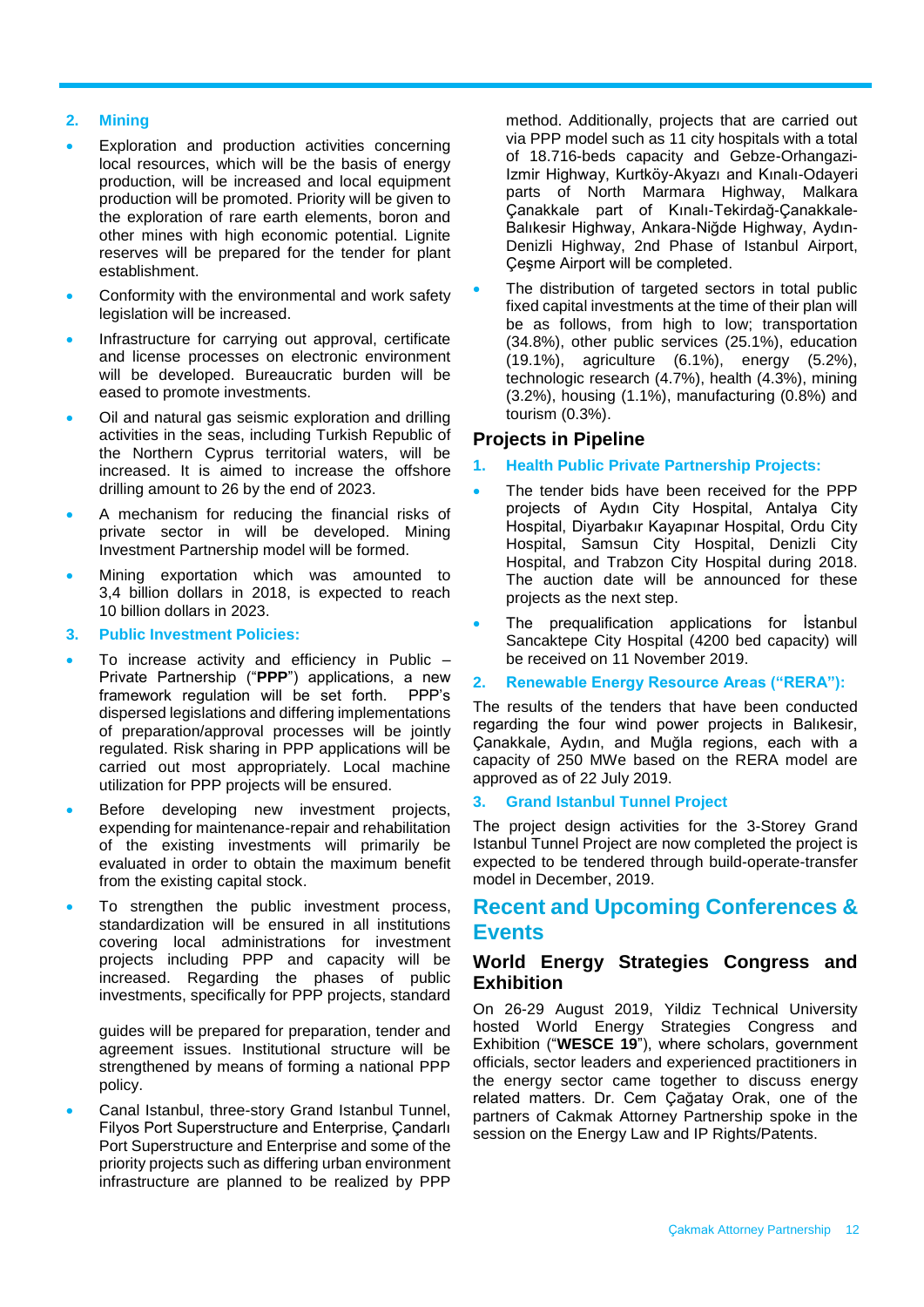## **2. Mining**

- Exploration and production activities concerning local resources, which will be the basis of energy production, will be increased and local equipment production will be promoted. Priority will be given to the exploration of rare earth elements, boron and other mines with high economic potential. Lignite reserves will be prepared for the tender for plant establishment.
- Conformity with the environmental and work safety legislation will be increased.
- Infrastructure for carrying out approval, certificate and license processes on electronic environment will be developed. Bureaucratic burden will be eased to promote investments.
- Oil and natural gas seismic exploration and drilling activities in the seas, including Turkish Republic of the Northern Cyprus territorial waters, will be increased. It is aimed to increase the offshore drilling amount to 26 by the end of 2023.
- A mechanism for reducing the financial risks of private sector in will be developed. Mining Investment Partnership model will be formed.
- Mining exportation which was amounted to 3,4 billion dollars in 2018, is expected to reach 10 billion dollars in 2023.
- **3. Public Investment Policies:**
- To increase activity and efficiency in Public Private Partnership ("**PPP**") applications, a new framework regulation will be set forth. PPP's dispersed legislations and differing implementations of preparation/approval processes will be jointly regulated. Risk sharing in PPP applications will be carried out most appropriately. Local machine utilization for PPP projects will be ensured.
- Before developing new investment projects, expending for maintenance-repair and rehabilitation of the existing investments will primarily be evaluated in order to obtain the maximum benefit from the existing capital stock.
- To strengthen the public investment process, standardization will be ensured in all institutions covering local administrations for investment projects including PPP and capacity will be increased. Regarding the phases of public investments, specifically for PPP projects, standard

guides will be prepared for preparation, tender and agreement issues. Institutional structure will be strengthened by means of forming a national PPP policy.

 Canal Istanbul, three-story Grand Istanbul Tunnel, Filyos Port Superstructure and Enterprise, Çandarlı Port Superstructure and Enterprise and some of the priority projects such as differing urban environment infrastructure are planned to be realized by PPP

method. Additionally, projects that are carried out via PPP model such as 11 city hospitals with a total of 18.716-beds capacity and Gebze-Orhangazi-Izmir Highway, Kurtköy-Akyazı and Kınalı-Odayeri parts of North Marmara Highway, Malkara Çanakkale part of Kınalı-Tekirdağ-Çanakkale-Balıkesir Highway, Ankara-Niğde Highway, Aydın-Denizli Highway, 2nd Phase of Istanbul Airport, Çeşme Airport will be completed.

 The distribution of targeted sectors in total public fixed capital investments at the time of their plan will be as follows, from high to low; transportation (34.8%), other public services (25.1%), education (19.1%), agriculture (6.1%), energy (5.2%), technologic research (4.7%), health (4.3%), mining (3.2%), housing (1.1%), manufacturing (0.8%) and tourism (0.3%).

## **Projects in Pipeline**

- **1. Health Public Private Partnership Projects:**
- The tender bids have been received for the PPP projects of Aydın City Hospital, Antalya City Hospital, Diyarbakır Kayapınar Hospital, Ordu City Hospital, Samsun City Hospital, Denizli City Hospital, and Trabzon City Hospital during 2018. The auction date will be announced for these projects as the next step.
- The prequalification applications for İstanbul Sancaktepe City Hospital (4200 bed capacity) will be received on 11 November 2019.
- **2. Renewable Energy Resource Areas ("RERA"):**

The results of the tenders that have been conducted regarding the four wind power projects in Balıkesir, Çanakkale, Aydın, and Muğla regions, each with a capacity of 250 MWe based on the RERA model are approved as of 22 July 2019.

## **3. Grand Istanbul Tunnel Project**

The project design activities for the 3-Storey Grand Istanbul Tunnel Project are now completed the project is expected to be tendered through build-operate-transfer model in December, 2019.

# **Recent and Upcoming Conferences & Events**

## **World Energy Strategies Congress and Exhibition**

On 26-29 August 2019, Yildiz Technical University hosted World Energy Strategies Congress and Exhibition ("**WESCE 19**"), where scholars, government officials, sector leaders and experienced practitioners in the energy sector came together to discuss energy related matters. Dr. Cem Çağatay Orak, one of the partners of Cakmak Attorney Partnership spoke in the session on the Energy Law and IP Rights/Patents.